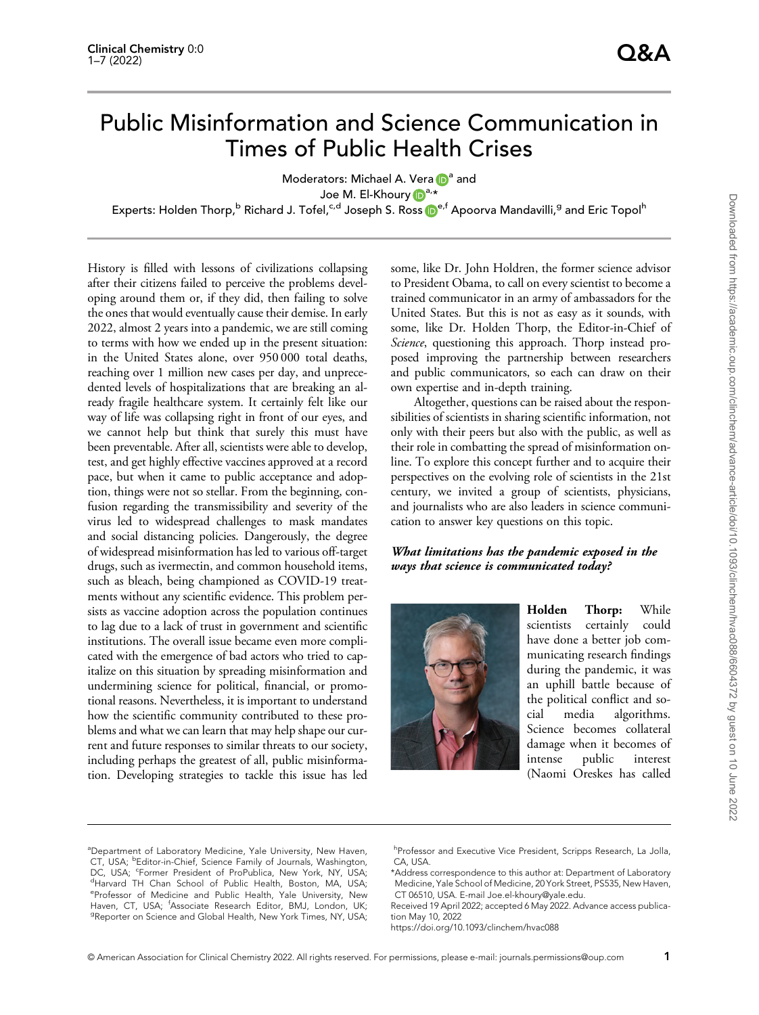# Public Misinformation and Science Communication in Times of Public Health Crises

Moderators: Michael A. Vera  $\mathbb{D}^a$  and Joe M. El-Khoury Da,\*

Exp[e](https://orcid.org/0000-0002-9218-3320)rts: Holden Thorp,<sup>b</sup> Richard J. Tofel,<sup>c,d</sup> Joseph S. Ross D<sup>e,f</sup> Apoorva Mandavilli,<sup>g</sup> and Eric Topol<sup>h</sup>

History is filled with lessons of civilizations collapsing after their citizens failed to perceive the problems developing around them or, if they did, then failing to solve the ones that would eventually cause their demise. In early 2022, almost 2 years into a pandemic, we are still coming to terms with how we ended up in the present situation: in the United States alone, over 950 000 total deaths, reaching over 1 million new cases per day, and unprecedented levels of hospitalizations that are breaking an already fragile healthcare system. It certainly felt like our way of life was collapsing right in front of our eyes, and we cannot help but think that surely this must have been preventable. After all, scientists were able to develop, test, and get highly effective vaccines approved at a record pace, but when it came to public acceptance and adoption, things were not so stellar. From the beginning, confusion regarding the transmissibility and severity of the virus led to widespread challenges to mask mandates and social distancing policies. Dangerously, the degree of widespread misinformation has led to various off-target drugs, such as ivermectin, and common household items, such as bleach, being championed as COVID-19 treatments without any scientific evidence. This problem persists as vaccine adoption across the population continues to lag due to a lack of trust in government and scientific institutions. The overall issue became even more complicated with the emergence of bad actors who tried to capitalize on this situation by spreading misinformation and undermining science for political, financial, or promotional reasons. Nevertheless, it is important to understand how the scientific community contributed to these problems and what we can learn that may help shape our current and future responses to similar threats to our society, including perhaps the greatest of all, public misinformation. Developing strategies to tackle this issue has led some, like Dr. John Holdren, the former science advisor to President Obama, to call on every scientist to become a trained communicator in an army of ambassadors for the United States. But this is not as easy as it sounds, with some, like Dr. Holden Thorp, the Editor-in-Chief of Science, questioning this approach. Thorp instead proposed improving the partnership between researchers and public communicators, so each can draw on their own expertise and in-depth training.

Altogether, questions can be raised about the responsibilities of scientists in sharing scientific information, not only with their peers but also with the public, as well as their role in combatting the spread of misinformation online. To explore this concept further and to acquire their perspectives on the evolving role of scientists in the 21st century, we invited a group of scientists, physicians, and journalists who are also leaders in science communication to answer key questions on this topic.

## What limitations has the pandemic exposed in the ways that science is communicated today?



Holden Thorp: While scientists certainly could have done a better job communicating research findings during the pandemic, it was an uphill battle because of the political conflict and social media algorithms. Science becomes collateral damage when it becomes of intense public interest (Naomi Oreskes has called

<sup>a</sup>Department of Laboratory Medicine, Yale University, New Haven, CT, USA; **bEditor-in-Chief, Science Family of Journals**, Washington, DC, USA; <sup>c</sup>Former President of ProPublica, New York, NY, USA;<br><sup>d</sup>Harvard TH Chan School of Public Hoalth, Boston, MA, USA; <sup>d</sup>Harvard TH Chan School of Public Health, Boston, MA, USA; e Professor of Medicine and Public Health, Yale University, New Haven, CT, USA; <sup>f</sup>Associate Research Editor, BMJ, London, UK;<br><sup>9</sup>Penerter an Science and Global Health Naw York Times NY USA: <sup>9</sup>Reporter on Science and Global Health, New York Times, NY, USA;

h<br>Professor and Executive Vice President, Scripps Research, La Jolla, CA, USA.

\*Address correspondence to this author at: Department of Laboratory Medicine, Yale School of Medicine, 20 York Street, PS535, New Haven, CT 06510, USA. E-mail [Joe.el-khoury@yale.edu](mailto:Joe.el-khoury@yale.edu).

Received 19 April 2022; accepted 6 May 2022. Advance access publication May 10, 2022

https://doi.org/10.1093/clinchem/hvac088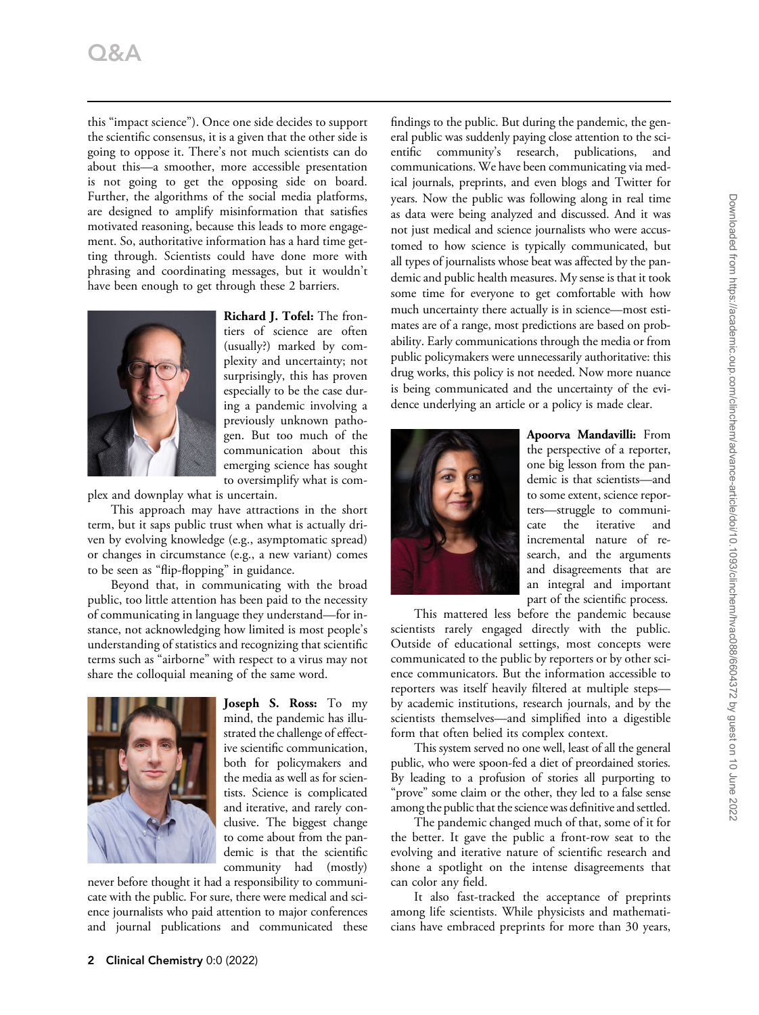this "impact science"). Once one side decides to support the scientific consensus, it is a given that the other side is going to oppose it. There's not much scientists can do about this—a smoother, more accessible presentation is not going to get the opposing side on board. Further, the algorithms of the social media platforms, are designed to amplify misinformation that satisfies motivated reasoning, because this leads to more engagement. So, authoritative information has a hard time getting through. Scientists could have done more with phrasing and coordinating messages, but it wouldn't have been enough to get through these 2 barriers.



Richard J. Tofel: The frontiers of science are often (usually?) marked by complexity and uncertainty; not surprisingly, this has proven especially to be the case during a pandemic involving a previously unknown pathogen. But too much of the communication about this emerging science has sought to oversimplify what is com-

plex and downplay what is uncertain.

This approach may have attractions in the short term, but it saps public trust when what is actually driven by evolving knowledge (e.g., asymptomatic spread) or changes in circumstance (e.g., a new variant) comes to be seen as "flip-flopping" in guidance.

Beyond that, in communicating with the broad public, too little attention has been paid to the necessity of communicating in language they understand—for instance, not acknowledging how limited is most people's understanding of statistics and recognizing that scientific terms such as "airborne" with respect to a virus may not share the colloquial meaning of the same word.



Joseph S. Ross: To my mind, the pandemic has illustrated the challenge of effective scientific communication, both for policymakers and the media as well as for scientists. Science is complicated and iterative, and rarely conclusive. The biggest change to come about from the pandemic is that the scientific community had (mostly)

never before thought it had a responsibility to communicate with the public. For sure, there were medical and science journalists who paid attention to major conferences and journal publications and communicated these findings to the public. But during the pandemic, the general public was suddenly paying close attention to the scientific community's research, publications, and communications. We have been communicating via medical journals, preprints, and even blogs and Twitter for years. Now the public was following along in real time as data were being analyzed and discussed. And it was not just medical and science journalists who were accustomed to how science is typically communicated, but all types of journalists whose beat was affected by the pandemic and public health measures. My sense is that it took some time for everyone to get comfortable with how much uncertainty there actually is in science—most estimates are of a range, most predictions are based on probability. Early communications through the media or from public policymakers were unnecessarily authoritative: this drug works, this policy is not needed. Now more nuance is being communicated and the uncertainty of the evidence underlying an article or a policy is made clear.



Apoorva Mandavilli: From the perspective of a reporter, one big lesson from the pandemic is that scientists—and to some extent, science reporters—struggle to communicate the iterative and incremental nature of research, and the arguments and disagreements that are an integral and important part of the scientific process.

This mattered less before the pandemic because scientists rarely engaged directly with the public. Outside of educational settings, most concepts were communicated to the public by reporters or by other science communicators. But the information accessible to reporters was itself heavily filtered at multiple steps by academic institutions, research journals, and by the scientists themselves—and simplified into a digestible form that often belied its complex context.

This system served no one well, least of all the general public, who were spoon-fed a diet of preordained stories. By leading to a profusion of stories all purporting to "prove" some claim or the other, they led to a false sense among the public that the science was definitive and settled.

The pandemic changed much of that, some of it for the better. It gave the public a front-row seat to the evolving and iterative nature of scientific research and shone a spotlight on the intense disagreements that can color any field.

It also fast-tracked the acceptance of preprints among life scientists. While physicists and mathematicians have embraced preprints for more than 30 years,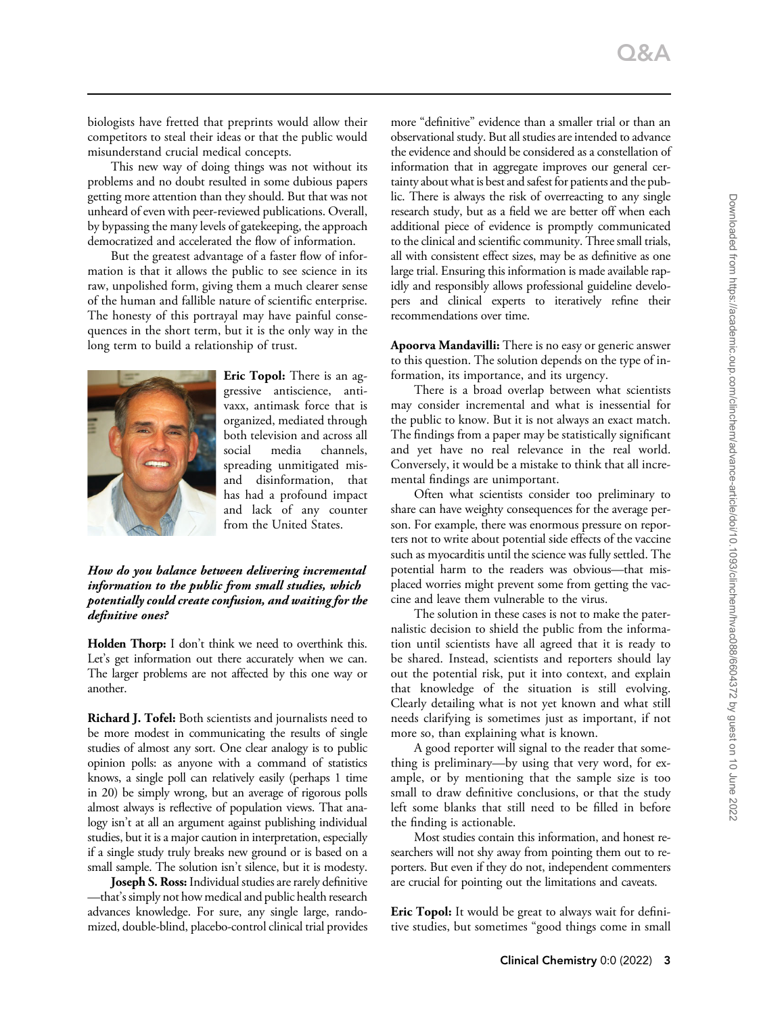biologists have fretted that preprints would allow their competitors to steal their ideas or that the public would misunderstand crucial medical concepts.

This new way of doing things was not without its problems and no doubt resulted in some dubious papers getting more attention than they should. But that was not unheard of even with peer-reviewed publications. Overall, by bypassing the many levels of gatekeeping, the approach democratized and accelerated the flow of information.

But the greatest advantage of a faster flow of information is that it allows the public to see science in its raw, unpolished form, giving them a much clearer sense of the human and fallible nature of scientific enterprise. The honesty of this portrayal may have painful consequences in the short term, but it is the only way in the long term to build a relationship of trust.



Eric Topol: There is an aggressive antiscience, antivaxx, antimask force that is organized, mediated through both television and across all social media channels, spreading unmitigated misand disinformation, that has had a profound impact and lack of any counter from the United States.

### How do you balance between delivering incremental information to the public from small studies, which potentially could create confusion, and waiting for the definitive ones?

Holden Thorp: I don't think we need to overthink this. Let's get information out there accurately when we can. The larger problems are not affected by this one way or another.

Richard J. Tofel: Both scientists and journalists need to be more modest in communicating the results of single studies of almost any sort. One clear analogy is to public opinion polls: as anyone with a command of statistics knows, a single poll can relatively easily (perhaps 1 time in 20) be simply wrong, but an average of rigorous polls almost always is reflective of population views. That analogy isn't at all an argument against publishing individual studies, but it is a major caution in interpretation, especially if a single study truly breaks new ground or is based on a small sample. The solution isn't silence, but it is modesty.

Joseph S. Ross: Individual studies are rarely definitive —that's simply not how medical and public health research advances knowledge. For sure, any single large, randomized, double-blind, placebo-control clinical trial provides

more "definitive" evidence than a smaller trial or than an observational study. But all studies are intended to advance the evidence and should be considered as a constellation of information that in aggregate improves our general certainty about what is best and safest for patients and the public. There is always the risk of overreacting to any single research study, but as a field we are better off when each additional piece of evidence is promptly communicated to the clinical and scientific community. Three small trials, all with consistent effect sizes, may be as definitive as one large trial. Ensuring this information is made available rapidly and responsibly allows professional guideline developers and clinical experts to iteratively refine their recommendations over time.

Apoorva Mandavilli: There is no easy or generic answer to this question. The solution depends on the type of information, its importance, and its urgency.

There is a broad overlap between what scientists may consider incremental and what is inessential for the public to know. But it is not always an exact match. The findings from a paper may be statistically significant and yet have no real relevance in the real world. Conversely, it would be a mistake to think that all incremental findings are unimportant.

Often what scientists consider too preliminary to share can have weighty consequences for the average person. For example, there was enormous pressure on reporters not to write about potential side effects of the vaccine such as myocarditis until the science was fully settled. The potential harm to the readers was obvious—that misplaced worries might prevent some from getting the vaccine and leave them vulnerable to the virus.

The solution in these cases is not to make the paternalistic decision to shield the public from the information until scientists have all agreed that it is ready to be shared. Instead, scientists and reporters should lay out the potential risk, put it into context, and explain that knowledge of the situation is still evolving. Clearly detailing what is not yet known and what still needs clarifying is sometimes just as important, if not more so, than explaining what is known.

A good reporter will signal to the reader that something is preliminary—by using that very word, for example, or by mentioning that the sample size is too small to draw definitive conclusions, or that the study left some blanks that still need to be filled in before the finding is actionable.

Most studies contain this information, and honest researchers will not shy away from pointing them out to reporters. But even if they do not, independent commenters are crucial for pointing out the limitations and caveats.

Eric Topol: It would be great to always wait for definitive studies, but sometimes "good things come in small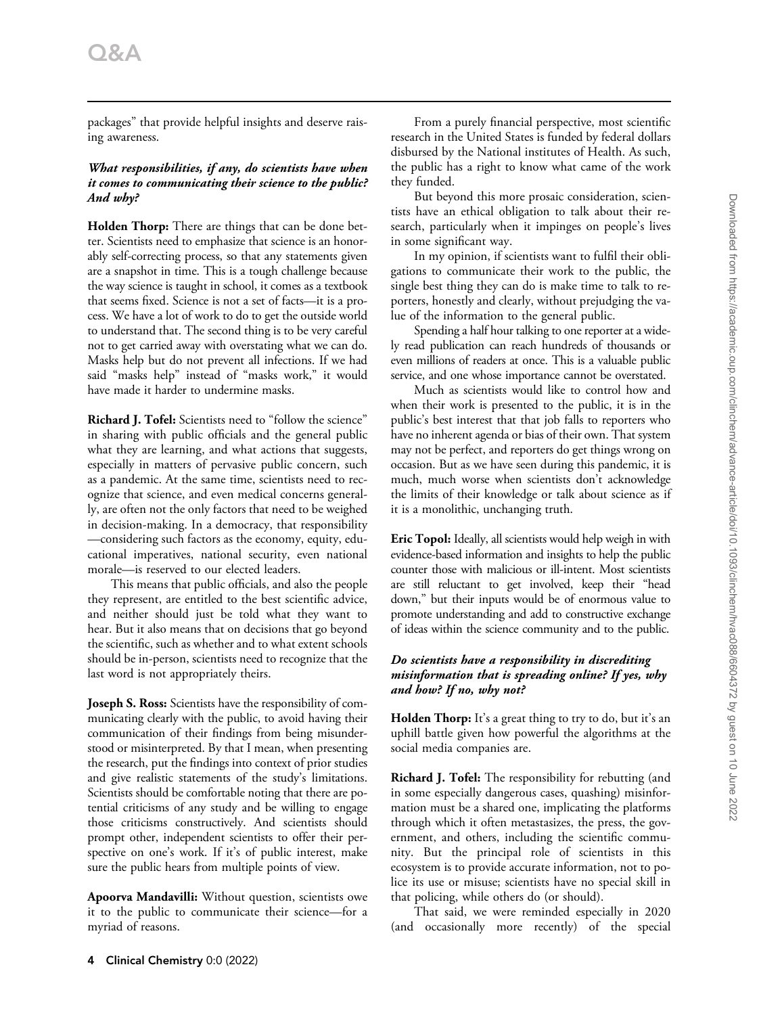packages" that provide helpful insights and deserve raising awareness.

#### What responsibilities, if any, do scientists have when it comes to communicating their science to the public? And why?

Holden Thorp: There are things that can be done better. Scientists need to emphasize that science is an honorably self-correcting process, so that any statements given are a snapshot in time. This is a tough challenge because the way science is taught in school, it comes as a textbook that seems fixed. Science is not a set of facts—it is a process. We have a lot of work to do to get the outside world to understand that. The second thing is to be very careful not to get carried away with overstating what we can do. Masks help but do not prevent all infections. If we had said "masks help" instead of "masks work," it would have made it harder to undermine masks.

Richard J. Tofel: Scientists need to "follow the science" in sharing with public officials and the general public what they are learning, and what actions that suggests, especially in matters of pervasive public concern, such as a pandemic. At the same time, scientists need to recognize that science, and even medical concerns generally, are often not the only factors that need to be weighed in decision-making. In a democracy, that responsibility —considering such factors as the economy, equity, educational imperatives, national security, even national morale—is reserved to our elected leaders.

This means that public officials, and also the people they represent, are entitled to the best scientific advice, and neither should just be told what they want to hear. But it also means that on decisions that go beyond the scientific, such as whether and to what extent schools should be in-person, scientists need to recognize that the last word is not appropriately theirs.

Joseph S. Ross: Scientists have the responsibility of communicating clearly with the public, to avoid having their communication of their findings from being misunderstood or misinterpreted. By that I mean, when presenting the research, put the findings into context of prior studies and give realistic statements of the study's limitations. Scientists should be comfortable noting that there are potential criticisms of any study and be willing to engage those criticisms constructively. And scientists should prompt other, independent scientists to offer their perspective on one's work. If it's of public interest, make sure the public hears from multiple points of view.

Apoorva Mandavilli: Without question, scientists owe it to the public to communicate their science—for a myriad of reasons.

From a purely financial perspective, most scientific research in the United States is funded by federal dollars disbursed by the National institutes of Health. As such, the public has a right to know what came of the work they funded.

But beyond this more prosaic consideration, scientists have an ethical obligation to talk about their research, particularly when it impinges on people's lives in some significant way.

In my opinion, if scientists want to fulfil their obligations to communicate their work to the public, the single best thing they can do is make time to talk to reporters, honestly and clearly, without prejudging the value of the information to the general public.

Spending a half hour talking to one reporter at a widely read publication can reach hundreds of thousands or even millions of readers at once. This is a valuable public service, and one whose importance cannot be overstated.

Much as scientists would like to control how and when their work is presented to the public, it is in the public's best interest that that job falls to reporters who have no inherent agenda or bias of their own. That system may not be perfect, and reporters do get things wrong on occasion. But as we have seen during this pandemic, it is much, much worse when scientists don't acknowledge the limits of their knowledge or talk about science as if it is a monolithic, unchanging truth.

Eric Topol: Ideally, all scientists would help weigh in with evidence-based information and insights to help the public counter those with malicious or ill-intent. Most scientists are still reluctant to get involved, keep their "head down," but their inputs would be of enormous value to promote understanding and add to constructive exchange of ideas within the science community and to the public.

#### Do scientists have a responsibility in discrediting misinformation that is spreading online? If yes, why and how? If no, why not?

Holden Thorp: It's a great thing to try to do, but it's an uphill battle given how powerful the algorithms at the social media companies are.

Richard J. Tofel: The responsibility for rebutting (and in some especially dangerous cases, quashing) misinformation must be a shared one, implicating the platforms through which it often metastasizes, the press, the government, and others, including the scientific community. But the principal role of scientists in this ecosystem is to provide accurate information, not to police its use or misuse; scientists have no special skill in that policing, while others do (or should).

That said, we were reminded especially in 2020 (and occasionally more recently) of the special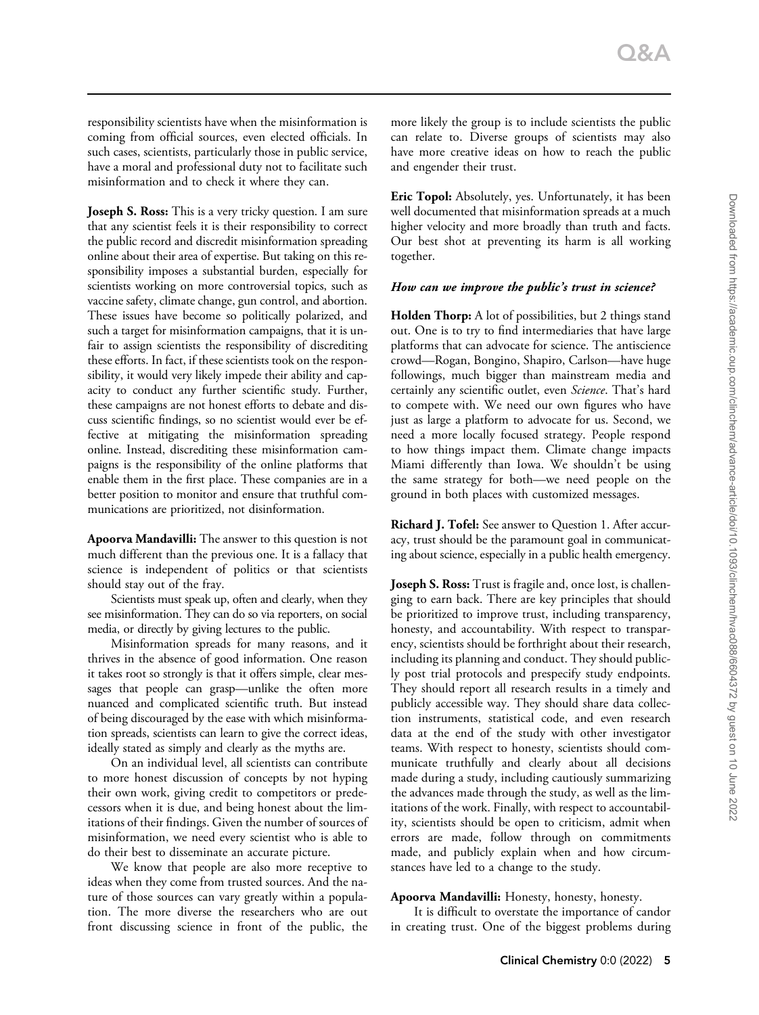responsibility scientists have when the misinformation is coming from official sources, even elected officials. In such cases, scientists, particularly those in public service, have a moral and professional duty not to facilitate such misinformation and to check it where they can.

**Joseph S. Ross:** This is a very tricky question. I am sure that any scientist feels it is their responsibility to correct the public record and discredit misinformation spreading online about their area of expertise. But taking on this responsibility imposes a substantial burden, especially for scientists working on more controversial topics, such as vaccine safety, climate change, gun control, and abortion. These issues have become so politically polarized, and such a target for misinformation campaigns, that it is unfair to assign scientists the responsibility of discrediting these efforts. In fact, if these scientists took on the responsibility, it would very likely impede their ability and capacity to conduct any further scientific study. Further, these campaigns are not honest efforts to debate and discuss scientific findings, so no scientist would ever be effective at mitigating the misinformation spreading online. Instead, discrediting these misinformation campaigns is the responsibility of the online platforms that enable them in the first place. These companies are in a better position to monitor and ensure that truthful communications are prioritized, not disinformation.

Apoorva Mandavilli: The answer to this question is not much different than the previous one. It is a fallacy that science is independent of politics or that scientists should stay out of the fray.

Scientists must speak up, often and clearly, when they see misinformation. They can do so via reporters, on social media, or directly by giving lectures to the public.

Misinformation spreads for many reasons, and it thrives in the absence of good information. One reason it takes root so strongly is that it offers simple, clear messages that people can grasp—unlike the often more nuanced and complicated scientific truth. But instead of being discouraged by the ease with which misinformation spreads, scientists can learn to give the correct ideas, ideally stated as simply and clearly as the myths are.

On an individual level, all scientists can contribute to more honest discussion of concepts by not hyping their own work, giving credit to competitors or predecessors when it is due, and being honest about the limitations of their findings. Given the number of sources of misinformation, we need every scientist who is able to do their best to disseminate an accurate picture.

We know that people are also more receptive to ideas when they come from trusted sources. And the nature of those sources can vary greatly within a population. The more diverse the researchers who are out front discussing science in front of the public, the more likely the group is to include scientists the public can relate to. Diverse groups of scientists may also have more creative ideas on how to reach the public and engender their trust.

Eric Topol: Absolutely, yes. Unfortunately, it has been well documented that misinformation spreads at a much higher velocity and more broadly than truth and facts. Our best shot at preventing its harm is all working together.

#### How can we improve the public's trust in science?

Holden Thorp: A lot of possibilities, but 2 things stand out. One is to try to find intermediaries that have large platforms that can advocate for science. The antiscience crowd—Rogan, Bongino, Shapiro, Carlson—have huge followings, much bigger than mainstream media and certainly any scientific outlet, even Science. That's hard to compete with. We need our own figures who have just as large a platform to advocate for us. Second, we need a more locally focused strategy. People respond to how things impact them. Climate change impacts Miami differently than Iowa. We shouldn't be using the same strategy for both—we need people on the ground in both places with customized messages.

Richard J. Tofel: See answer to Question 1. After accuracy, trust should be the paramount goal in communicating about science, especially in a public health emergency.

Joseph S. Ross: Trust is fragile and, once lost, is challenging to earn back. There are key principles that should be prioritized to improve trust, including transparency, honesty, and accountability. With respect to transparency, scientists should be forthright about their research, including its planning and conduct. They should publicly post trial protocols and prespecify study endpoints. They should report all research results in a timely and publicly accessible way. They should share data collection instruments, statistical code, and even research data at the end of the study with other investigator teams. With respect to honesty, scientists should communicate truthfully and clearly about all decisions made during a study, including cautiously summarizing the advances made through the study, as well as the limitations of the work. Finally, with respect to accountability, scientists should be open to criticism, admit when errors are made, follow through on commitments made, and publicly explain when and how circumstances have led to a change to the study.

#### Apoorva Mandavilli: Honesty, honesty, honesty.

It is difficult to overstate the importance of candor in creating trust. One of the biggest problems during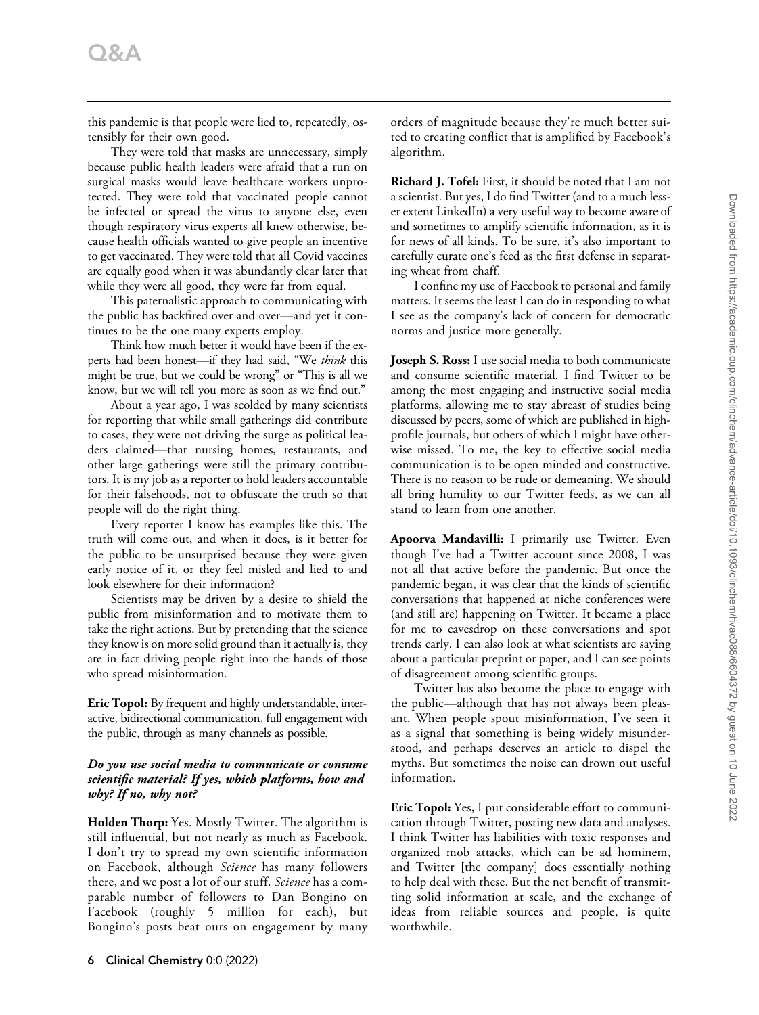this pandemic is that people were lied to, repeatedly, ostensibly for their own good.

They were told that masks are unnecessary, simply because public health leaders were afraid that a run on surgical masks would leave healthcare workers unprotected. They were told that vaccinated people cannot be infected or spread the virus to anyone else, even though respiratory virus experts all knew otherwise, because health officials wanted to give people an incentive to get vaccinated. They were told that all Covid vaccines are equally good when it was abundantly clear later that while they were all good, they were far from equal.

This paternalistic approach to communicating with the public has backfired over and over—and yet it continues to be the one many experts employ.

Think how much better it would have been if the experts had been honest—if they had said, "We think this might be true, but we could be wrong" or "This is all we know, but we will tell you more as soon as we find out."

About a year ago, I was scolded by many scientists for reporting that while small gatherings did contribute to cases, they were not driving the surge as political leaders claimed—that nursing homes, restaurants, and other large gatherings were still the primary contributors. It is my job as a reporter to hold leaders accountable for their falsehoods, not to obfuscate the truth so that people will do the right thing.

Every reporter I know has examples like this. The truth will come out, and when it does, is it better for the public to be unsurprised because they were given early notice of it, or they feel misled and lied to and look elsewhere for their information?

Scientists may be driven by a desire to shield the public from misinformation and to motivate them to take the right actions. But by pretending that the science they know is on more solid ground than it actually is, they are in fact driving people right into the hands of those who spread misinformation.

Eric Topol: By frequent and highly understandable, interactive, bidirectional communication, full engagement with the public, through as many channels as possible.

#### Do you use social media to communicate or consume scientific material? If yes, which platforms, how and why? If no, why not?

Holden Thorp: Yes. Mostly Twitter. The algorithm is still influential, but not nearly as much as Facebook. I don't try to spread my own scientific information on Facebook, although Science has many followers there, and we post a lot of our stuff. Science has a comparable number of followers to Dan Bongino on Facebook (roughly 5 million for each), but Bongino's posts beat ours on engagement by many orders of magnitude because they're much better suited to creating conflict that is amplified by Facebook's algorithm.

Richard J. Tofel: First, it should be noted that I am not a scientist. But yes, I do find Twitter (and to a much lesser extent LinkedIn) a very useful way to become aware of and sometimes to amplify scientific information, as it is for news of all kinds. To be sure, it's also important to carefully curate one's feed as the first defense in separating wheat from chaff.

I confine my use of Facebook to personal and family matters. It seems the least I can do in responding to what I see as the company's lack of concern for democratic norms and justice more generally.

Joseph S. Ross: I use social media to both communicate and consume scientific material. I find Twitter to be among the most engaging and instructive social media platforms, allowing me to stay abreast of studies being discussed by peers, some of which are published in highprofile journals, but others of which I might have otherwise missed. To me, the key to effective social media communication is to be open minded and constructive. There is no reason to be rude or demeaning. We should all bring humility to our Twitter feeds, as we can all stand to learn from one another.

Apoorva Mandavilli: I primarily use Twitter. Even though I've had a Twitter account since 2008, I was not all that active before the pandemic. But once the pandemic began, it was clear that the kinds of scientific conversations that happened at niche conferences were (and still are) happening on Twitter. It became a place for me to eavesdrop on these conversations and spot trends early. I can also look at what scientists are saying about a particular preprint or paper, and I can see points of disagreement among scientific groups.

Twitter has also become the place to engage with the public—although that has not always been pleasant. When people spout misinformation, I've seen it as a signal that something is being widely misunderstood, and perhaps deserves an article to dispel the myths. But sometimes the noise can drown out useful information.

Eric Topol: Yes, I put considerable effort to communication through Twitter, posting new data and analyses. I think Twitter has liabilities with toxic responses and organized mob attacks, which can be ad hominem, and Twitter [the company] does essentially nothing to help deal with these. But the net benefit of transmitting solid information at scale, and the exchange of ideas from reliable sources and people, is quite worthwhile.